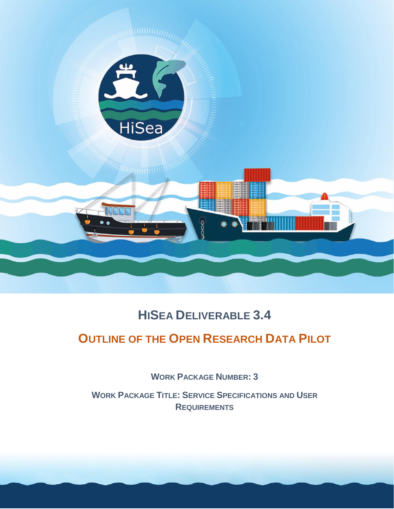

# **HISEA DELIVERABLE 3.4**

# **OUTLINE OF THE OPEN RESEARCH DATA PILOT**

**WORK PACKAGE NUMBER: 3**

**WORK PACKAGE TITLE: SERVICE SPECIFICATIONS AND USER REQUIREMENTS**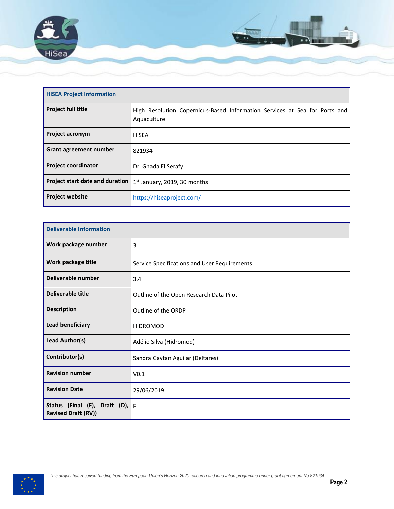

| <b>HISEA Project Information</b> |                                                                                           |  |  |
|----------------------------------|-------------------------------------------------------------------------------------------|--|--|
| <b>Project full title</b>        | High Resolution Copernicus-Based Information Services at Sea for Ports and<br>Aquaculture |  |  |
| <b>Project acronym</b>           | <b>HISEA</b>                                                                              |  |  |
| Grant agreement number           | 821934                                                                                    |  |  |
| <b>Project coordinator</b>       | Dr. Ghada El Serafy                                                                       |  |  |
| Project start date and duration  | $1st$ January, 2019, 30 months                                                            |  |  |
| <b>Project website</b>           | https://hiseaproject.com/                                                                 |  |  |

| <b>Deliverable Information</b>                                  |                                              |  |
|-----------------------------------------------------------------|----------------------------------------------|--|
| Work package number                                             | 3                                            |  |
| Work package title                                              | Service Specifications and User Requirements |  |
| Deliverable number                                              | 3.4                                          |  |
| Deliverable title                                               | Outline of the Open Research Data Pilot      |  |
| <b>Description</b>                                              | Outline of the ORDP                          |  |
| Lead beneficiary                                                | <b>HIDROMOD</b>                              |  |
| Lead Author(s)                                                  | Adélio Silva (Hidromod)                      |  |
| Contributor(s)                                                  | Sandra Gaytan Aguilar (Deltares)             |  |
| <b>Revision number</b>                                          | V <sub>0.1</sub>                             |  |
| <b>Revision Date</b>                                            | 29/06/2019                                   |  |
| Status (Final (F), Draft (D), $F$<br><b>Revised Draft (RV))</b> |                                              |  |

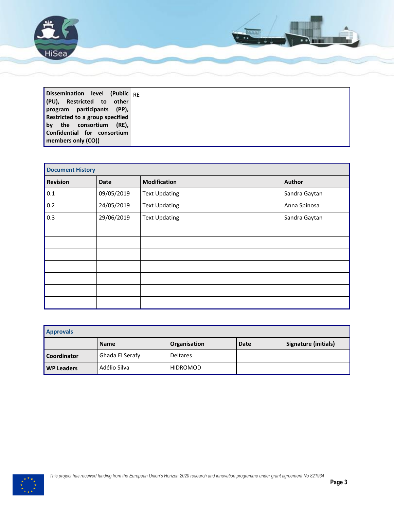

| Dissemination level (Public RF  |  |
|---------------------------------|--|
| (PU), Restricted to other       |  |
| program participants (PP),      |  |
| Restricted to a group specified |  |
| l bv<br>(RE),<br>the consortium |  |
| Confidential for consortium     |  |
| members only (CO))              |  |

| <b>Document History</b> |             |                      |               |
|-------------------------|-------------|----------------------|---------------|
| <b>Revision</b>         | <b>Date</b> | <b>Modification</b>  | Author        |
| $0.1\,$                 | 09/05/2019  | <b>Text Updating</b> | Sandra Gaytan |
| 0.2                     | 24/05/2019  | <b>Text Updating</b> | Anna Spinosa  |
| 0.3                     | 29/06/2019  | <b>Text Updating</b> | Sandra Gaytan |
|                         |             |                      |               |
|                         |             |                      |               |
|                         |             |                      |               |
|                         |             |                      |               |
|                         |             |                      |               |
|                         |             |                      |               |
|                         |             |                      |               |

| <b>Approvals</b>  |                 |                 |      |                      |
|-------------------|-----------------|-----------------|------|----------------------|
|                   | <b>Name</b>     | Organisation    | Date | Signature (initials) |
| Coordinator       | Ghada El Serafy | <b>Deltares</b> |      |                      |
| <b>WP Leaders</b> | Adélio Silva    | <b>HIDROMOD</b> |      |                      |

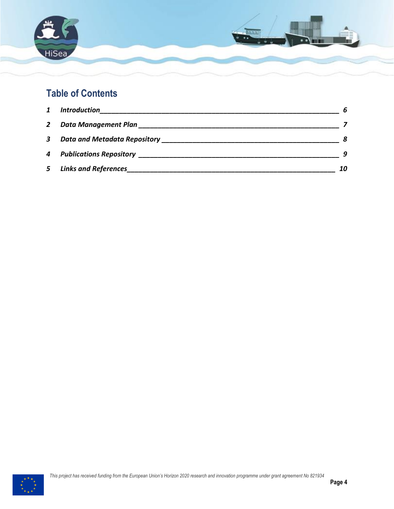

## **Table of Contents**

| $\mathbf{1}$ | <b>Introduction</b>         | 6  |
|--------------|-----------------------------|----|
| 2            |                             |    |
| $\mathbf{3}$ |                             |    |
|              |                             |    |
| 5            | <b>Links and References</b> | 10 |

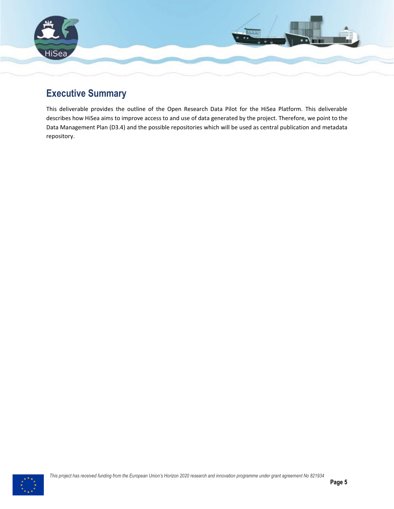

### **Executive Summary**

This deliverable provides the outline of the Open Research Data Pilot for the HiSea Platform. This deliverable describes how HiSea aims to improve access to and use of data generated by the project. Therefore, we point to the Data Management Plan (D3.4) and the possible repositories which will be used as central publication and metadata repository.

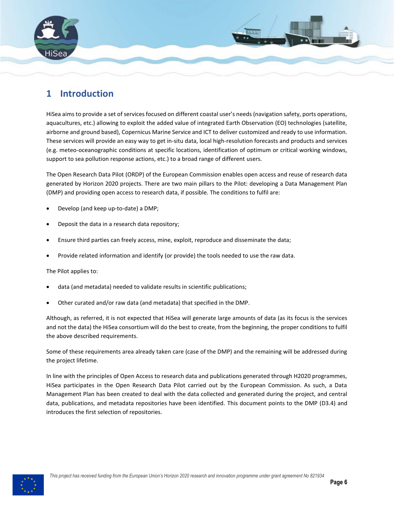

#### <span id="page-5-0"></span>**1 Introduction**

HiSea aims to provide a set of services focused on different coastal user's needs (navigation safety, ports operations, aquacultures, etc.) allowing to exploit the added value of integrated Earth Observation (EO) technologies (satellite, airborne and ground based), Copernicus Marine Service and ICT to deliver customized and ready to use information. These services will provide an easy way to get in-situ data, local high-resolution forecasts and products and services (e.g. meteo-oceanographic conditions at specific locations, identification of optimum or critical working windows, support to sea pollution response actions, etc.) to a broad range of different users.

The Open Research Data Pilot (ORDP) of the European Commission enables open access and reuse of research data generated by Horizon 2020 projects. There are two main pillars to the Pilot: developing a Data Management Plan (DMP) and providing open access to research data, if possible. The conditions to fulfil are:

- Develop (and keep up-to-date) a DMP;
- Deposit the data in a research data repository;
- Ensure third parties can freely access, mine, exploit, reproduce and disseminate the data;
- Provide related information and identify (or provide) the tools needed to use the raw data.

The Pilot applies to:

- data (and metadata) needed to validate results in scientific publications;
- Other curated and/or raw data (and metadata) that specified in the DMP.

Although, as referred, it is not expected that HiSea will generate large amounts of data (as its focus is the services and not the data) the HiSea consortium will do the best to create, from the beginning, the proper conditions to fulfil the above described requirements.

Some of these requirements area already taken care (case of the DMP) and the remaining will be addressed during the project lifetime.

In line with the principles of Open Access to research data and publications generated through H2020 programmes, HiSea participates in the Open Research Data Pilot carried out by the European Commission. As such, a Data Management Plan has been created to deal with the data collected and generated during the project, and central data, publications, and metadata repositories have been identified. This document points to the DMP (D3.4) and introduces the first selection of repositories.

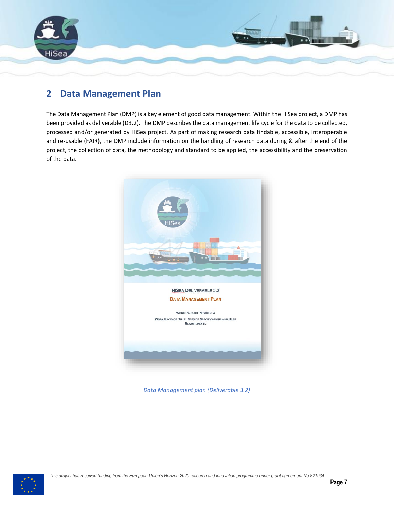

#### <span id="page-6-0"></span>**2 Data Management Plan**

The Data Management Plan (DMP) is a key element of good data management. Within the HiSea project, a DMP has been provided as deliverable (D3.2). The DMP describes the data management life cycle for the data to be collected, processed and/or generated by HiSea project. As part of making research data findable, accessible, interoperable and re-usable (FAIR), the DMP include information on the handling of research data during & after the end of the project, the collection of data, the methodology and standard to be applied, the accessibility and the preservation of the data.



*Data Management plan (Deliverable 3.2)*

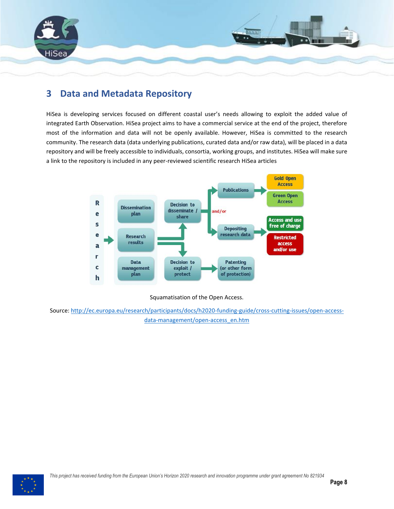

#### <span id="page-7-0"></span>**3 Data and Metadata Repository**

HiSea is developing services focused on different coastal user's needs allowing to exploit the added value of integrated Earth Observation. HiSea project aims to have a commercial service at the end of the project, therefore most of the information and data will not be openly available. However, HiSea is committed to the research community. The research data (data underlying publications, curated data and/or raw data), will be placed in a data repository and will be freely accessible to individuals, consortia, working groups, and institutes. HiSea will make sure a link to the repository is included in any peer-reviewed scientific research HiSea articles



#### Squamatisation of the Open Access.

Source: [http://ec.europa.eu/research/participants/docs/h2020-funding-guide/cross-cutting-issues/open-access](http://ec.europa.eu/research/participants/docs/h2020-funding-guide/cross-cutting-issues/open-access-data-management/open-access_en.htm)[data-management/open-access\\_en.htm](http://ec.europa.eu/research/participants/docs/h2020-funding-guide/cross-cutting-issues/open-access-data-management/open-access_en.htm)

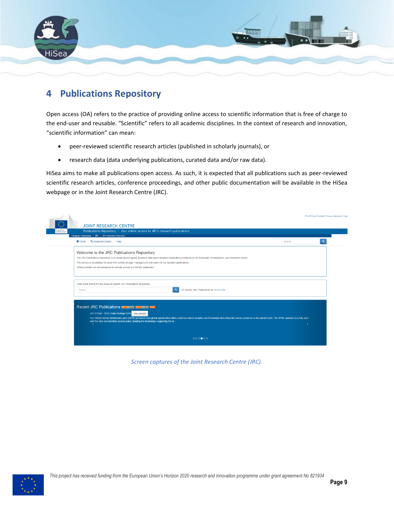

### <span id="page-8-0"></span>**4 Publications Repository**

Open access (OA) refers to the practice of providing online access to scientific information that is free of charge to the end-user and reusable. "Scientific" refers to all academic disciplines. In the context of research and innovation, "scientific information" can mean:

- peer-reviewed scientific research articles (published in scholarly journals), or
- research data (data underlying publications, curated data and/or raw data).

HiSea aims to make all publications open access. As such, it is expected that all publications such as peer-reviewed scientific research articles, conference proceedings, and other public documentation will be available in the HiSea webpage or in the Joint Research Centre (JRC).

|                                                                                                                                                                                                               |        | Print   Help   Contact   Privacy statement   Legi |  |
|---------------------------------------------------------------------------------------------------------------------------------------------------------------------------------------------------------------|--------|---------------------------------------------------|--|
| <b>JOINT RESEARCH CENTRE</b>                                                                                                                                                                                  |        |                                                   |  |
| European<br>Publications Repository - Your online access to JRC's research publications<br>Commission                                                                                                         |        |                                                   |  |
| European Commission > JRC > JRC Publications Repository                                                                                                                                                       |        |                                                   |  |
| Q Advanced Search Help<br><del>n</del> Home                                                                                                                                                                   | Search |                                                   |  |
| Welcome to the JRC Publications Repository                                                                                                                                                                    |        |                                                   |  |
| The JRC Publications Repository is an online service giving access to data about research publications produced by the European Commission's Joint Research Centre.                                           |        |                                                   |  |
| This service is established to assist with central storage, management and search to our research publications.                                                                                               |        |                                                   |  |
| Where possible we will endeavour to provide access to a full-text publication.                                                                                                                                |        |                                                   |  |
|                                                                                                                                                                                                               |        |                                                   |  |
|                                                                                                                                                                                                               |        |                                                   |  |
| Enter some text in the box below to search JRC Publications Repository.                                                                                                                                       |        |                                                   |  |
| Or browse JRC Publications by Directorate.<br>Search                                                                                                                                                          |        |                                                   |  |
|                                                                                                                                                                                                               |        |                                                   |  |
|                                                                                                                                                                                                               |        |                                                   |  |
| Recent JRC Publications <b>Existing True List PRSS</b>                                                                                                                                                        |        |                                                   |  |
| JRC117104 - GHSL Data Package 2019 View details                                                                                                                                                               |        |                                                   |  |
| The Global Human Settlement Layer (GHSL) produces new global spatial information, evidence-based analytics and knowledge describing the human presence on the planet Earth. The GHSL operates in a fully open |        |                                                   |  |
| and free data and methods access policy, building the knowledge supporting the de.                                                                                                                            |        |                                                   |  |
|                                                                                                                                                                                                               |        |                                                   |  |
|                                                                                                                                                                                                               |        |                                                   |  |
| 0000000                                                                                                                                                                                                       |        |                                                   |  |
|                                                                                                                                                                                                               |        |                                                   |  |

*Screen captures of the Joint Research Centre (JRC).*